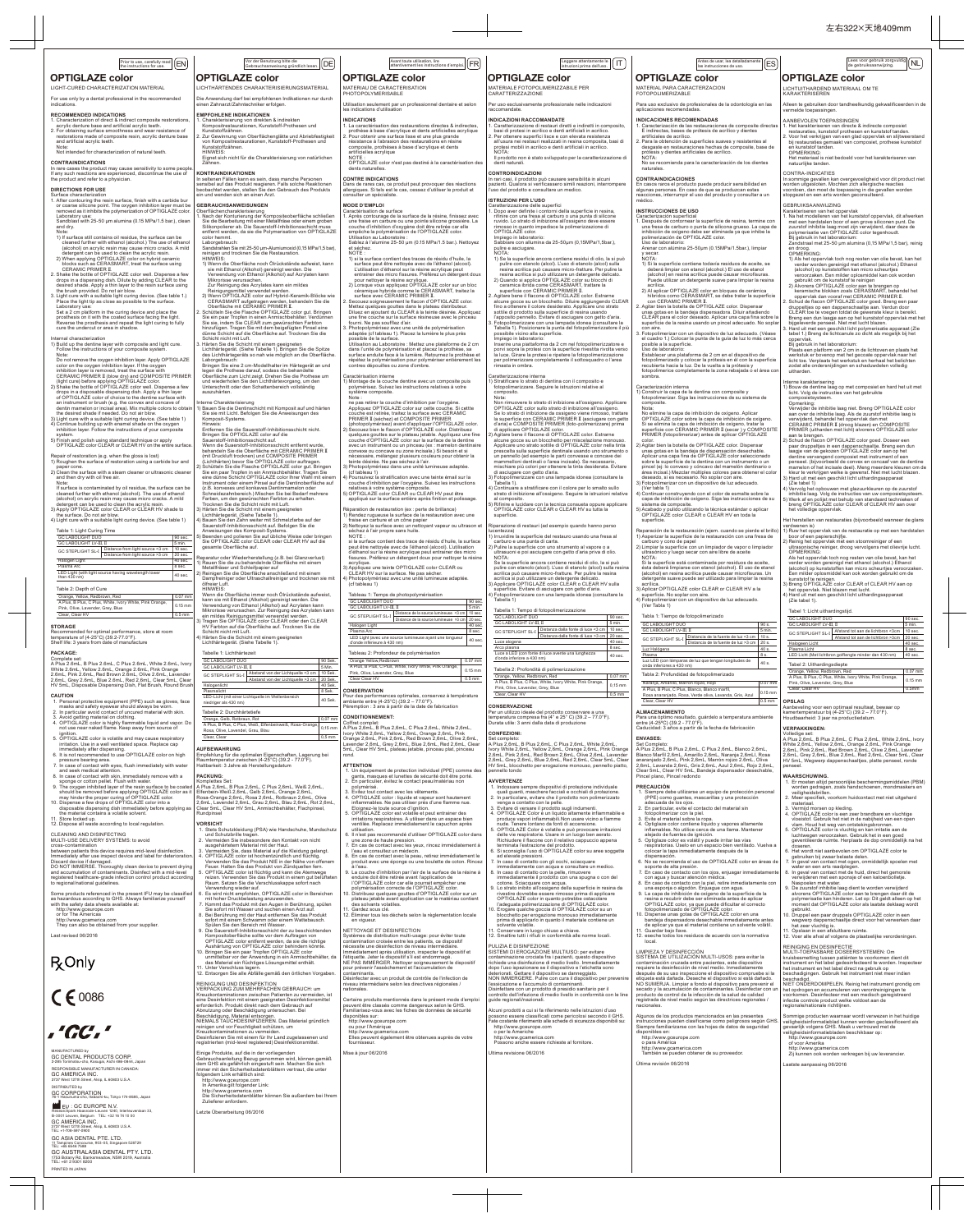2. Vermeiden Sie insbesondere den Kontakt von nicht<br>
susgehärtelem Material mit der Haut.<br>
3. Vermeiden Sie, dass Material auf die Kleidung gelangt.<br>
4. OPTIGLAZE color ist hochentzpunktille und flüchtig.<br>
Verwenden Sie da 7. Kommt das Produkt mit den Augen in Berührung, spülen<br>Sie sofort mit Wasser und suchen einen Arzt auf.<br>8. Bei Berührung mit der Haut entfernen Sie das Produkt<br>sofort mit einem Schwamm oder einem Wattebausch.<br>Spülen Sie d

- 7. En cas de contact avec les yeux, rincez immédiatement à l'eau et consultez un médecin. 8. En cas de contact avec la peau, retirez immédiatement le produit avec une éponge ou une boulette de coton. Rincez
- 
- 
- 
- 
- 

| $\boxed{\frac{\text{Prior to use, carefully read}}{\text{the instructions for use}}}$<br>the instructions for use.                                                                                                                                                                                                                                                                                                                                         | Vor der Benutzung bitte die<br>[DE]<br>Gebrauchsanweisung gründlich lesen.                                                                                                                                                                                                                                                                                                                                | $[attention, \texttt{line}(\texttt{a}, \texttt{a}, \texttt{b}, \texttt{b}, \texttt{c}, \texttt{d}, \texttt{d}, \texttt{d}, \texttt{d}, \texttt{d}, \texttt{d}, \texttt{d}, \texttt{d}, \texttt{d}, \texttt{d}, \texttt{d}, \texttt{d}, \texttt{d}, \texttt{d}, \texttt{d}, \texttt{d}, \texttt{d}, \texttt{d}, \texttt{d}, \texttt{d}, \texttt{d}, \texttt{d}, \texttt{d}, \texttt{d}, \texttt{d}, \texttt{d}, \texttt{d}, \texttt{d}, \texttt{d}, \texttt{d}, \$ | Leggere attentamente le<br>$\mathsf{I}\mathsf{T}$<br>istruzioni prima dell'uso.                                                                                                                                                                                                                                                                                                                                                             | Antes de usar, lea detalladamente<br>[ES]<br>las instrucciones de uso.                                                                                                                                                                                                                                                                                                                                               | Lees voor gebruik zorgvuldig NL<br>de gebruiksaanwijzing.                                                                                                                                                                                                                                                                                                                               |
|------------------------------------------------------------------------------------------------------------------------------------------------------------------------------------------------------------------------------------------------------------------------------------------------------------------------------------------------------------------------------------------------------------------------------------------------------------|-----------------------------------------------------------------------------------------------------------------------------------------------------------------------------------------------------------------------------------------------------------------------------------------------------------------------------------------------------------------------------------------------------------|-------------------------------------------------------------------------------------------------------------------------------------------------------------------------------------------------------------------------------------------------------------------------------------------------------------------------------------------------------------------------------------------------------------------------------------------------------------------|---------------------------------------------------------------------------------------------------------------------------------------------------------------------------------------------------------------------------------------------------------------------------------------------------------------------------------------------------------------------------------------------------------------------------------------------|----------------------------------------------------------------------------------------------------------------------------------------------------------------------------------------------------------------------------------------------------------------------------------------------------------------------------------------------------------------------------------------------------------------------|-----------------------------------------------------------------------------------------------------------------------------------------------------------------------------------------------------------------------------------------------------------------------------------------------------------------------------------------------------------------------------------------|
| <b>OPTIGLAZE color</b><br>LIGHT-CURED CHARACTERIZATION MATERIAL                                                                                                                                                                                                                                                                                                                                                                                            | <b>OPTIGLAZE color</b><br>LICHTHÄRTENDES CHARAKTERISIERUNGSMATERIAL                                                                                                                                                                                                                                                                                                                                       | <b>OPTIGLAZE color</b><br>MATERIAU DE CARACTERISATION                                                                                                                                                                                                                                                                                                                                                                                                             | <b>OPTIGLAZE color</b><br>MATERIALE FOTOPOLIMERIZZABILE PER                                                                                                                                                                                                                                                                                                                                                                                 | <b>OPTIGLAZE color</b><br>MATERIAL PARA CARACTERZACION                                                                                                                                                                                                                                                                                                                                                               | <b>OPTIGLAZE color</b><br>LICHTUITHARDEND MATERIAAL OM TE                                                                                                                                                                                                                                                                                                                               |
| For use only by a dental professional in the recommended<br>indications.                                                                                                                                                                                                                                                                                                                                                                                   | Die Anwendung darf bei empfohlenen Indikationen nur durch<br>einen Zahnarzt/Zahntechniker erfolgen.                                                                                                                                                                                                                                                                                                       | PHOTOPOLYMERISABLE<br>Utilisation seulement par un professionnel dentaire et selon<br>les indications d'utilisation                                                                                                                                                                                                                                                                                                                                               | CARATTERIZZAZIONE<br>Per uso esclusivamente professionale nelle indicazioni<br>raccomandate.                                                                                                                                                                                                                                                                                                                                                | <b>FOTOPOLIMERIZABLE</b><br>Para uso exclusivo de profesionales de la odontología en las<br>aplicaciones recomendadas.                                                                                                                                                                                                                                                                                               | <b>KARAKTERISEREN</b><br>Alleen te gebruiken door tandheelkundig gekwalificeerden in de<br>vermelde toepassingen.                                                                                                                                                                                                                                                                       |
| <b>RECOMMENDED INDICATIONS</b><br>1. Characterization of direct & indirect composite restorations.<br>acrylic denture base and artificial acrylic teeth.<br>2. For obtaining surface smoothness and wear resistance of<br>restorations made of composite resin, acrylic denture base<br>and artificial acrylic teeth.<br>Note:<br>Not intended for characterization of natural teeth.                                                                      | <b>EMPFOHLENE INDIKATIONEN</b><br>1. Charakterisierung von direkten & indirekten<br>Kompositrestaurationen, Kunststoff-Prothesen und<br>Kunststoffzähnen.<br>. Zur Gewinnung von Oberflächenglätte und Abriebfestigkeit<br>von Kompositrestaurationen, Kunststoff-Prothesen und<br>Kunststoffzähnen.<br>HINWEIS:<br>Eignet sich nicht für die Charakterisierung von natürlichen                           | <b>INDICATIONS</b><br>1. La caractérisation des restaurations directes & indirectes,<br>prothèse à base d'acrylique et dents artificielles acrylique<br>. Pour obtenir une surface lisse et une plus grande<br>résistance à l'abrasion des restaurations en résine<br>composite, prothèses à base d'acrylique et dents<br>artificielles acrylique<br>NOTE:                                                                                                        | <b>INDICAZIONI RACCOMANDATE</b><br>. Caratterizzazione di restauri diretti e indiretti in composito,<br>basi di protesi in acrilico e denti artificiali in acrilico.<br>. Per ottenere superfici lisce e con elevata resistenza<br>all'usura nei restauri realizzati in resina composita, basi di<br>protesi mobili in acrilico e denti artificiali in acrilico.<br>NOTA:<br>Il prodotto non è stato sviluppato per la caratterizzazione di | <b>INDICACIONES RECOMENDADAS</b><br>1. Caracterización de las restauraciones de composite directas<br>E indirectas, bases de prótesis de acrílico y dientes<br>artificiales de acrílico<br>2. Para la obtención de superficies suaves y resistentes al<br>desgaste en restauraciones hechas de composite, base de<br>prótesis y dientes artificiales de acrílico.<br>NOTA:                                           | AANBEVOLEN TOEPASSINGEN<br>1. Het karakteriseren van directe & indirecte composiet<br>restauraties, kunststof prothesen en kunststof tanden.<br>2. Voor het verkrijgen van een glad oppervlak en slijtweerstand<br>bij restauraties gemaakt van composiet, prothese kunststof<br>en kunststof tanden.<br><b>OPMERKING:</b><br>Het materiaal is niet bedoeld voor het karakteriseren van |
| <b>CONTRAINDICATIONS</b><br>In rare cases the product may cause sensitivity to some people<br>If any such reactions are experienced, discontinue the use of<br>the product and refer to a physician<br><b>DIRECTIONS FOR USE</b><br>Surface characterization                                                                                                                                                                                               | <b>Zähnen</b><br><b>KONTRAINDIKATIONEN</b><br>In seltenen Fällen kann es sein, dass manche Personen<br>sensibel auf das Produkt reagieren. Falls solche Reaktionen<br>beobachtet werden, stellen Sie den Gebrauch des Produkts<br>ein und wenden sich an einen Arzt.                                                                                                                                      | OPTIGLAZE color n'est pas destiné à la caractérisation des<br>dents naturelles.<br><b>CONTRE INDICATIONS</b><br>Dans de rares cas, ce produit peut provoquer des réactions<br>allergiques. Si tels est le cas, cessez d'utiliser le produit et<br>consulter un spécialiste                                                                                                                                                                                        | denti naturali.<br><b>CONTROINDICAZIONI</b><br>In rari casi, il prodotto può causare sensibilità in alcuni<br>pazienti. Qualora si verificassero simili reazioni, interrompere<br>l'uso del prodotto e consultare un medico.                                                                                                                                                                                                                | No se recomienda para la caracterización de los dientes<br>naturales<br><b>CONTRAINDICACIONES</b><br>En casos raros el producto puede producir sensibilidad en<br>algunas personas. En caso de que se produzcan estas<br>reacciones, interrumpir el uso del producto y consultar a un                                                                                                                                | natuurlijke tanden.<br>CONTRA-INDICATIES<br>In sommige gevallen kan overgevoeligheid voor dit product niet<br>worden uitgesloten. Mochten zich allergische reacties<br>voordoen, dan moet de toepassing in die gevallen worden<br>stopgezet en een arts worden geconsulteerd.                                                                                                           |
| 1. After contouring the resin surface, finish with a carbide bur<br>or coarse silicone point. The oxygen inhibition layer must be<br>removed as it inhibits the polymerization of OPTIGLAZE color.<br>Laboratory use<br>Sandblast with 25-50 um alumina (0.15 MPa/1.5 bar.), clean<br>and dry.<br>Note:                                                                                                                                                    | <b>GEBRAUCHSANWEISUNGEN</b><br>Oberflächencharakterisierung<br>. Nach der Konturierung der Kompositeoberfläche schließen<br>Sie die Bearbeitung mit einer Metallfräse oder einem groben<br>Silikonpolierer ab. Die Sauerstoff-Inhibitionsschicht muss<br>entfernt werden, da sie die Polymerisation von OPTIGLAZE                                                                                         | <b>MODE D'EMPLOI</b><br>Caractérisation de surface<br>1. Après contourage de la surface de la résine, finissez avec<br>une fraise en carbure ou une pointe silicone grossière. La<br>couche d'inhibition d'oxygène doit être retirée car elle<br>empêche la polymérisation de l'OPTIGLAZE color.                                                                                                                                                                  | <b>ISTRUZIONI PER L'USO</b><br>Caratterizzazione delle superfici<br>I. Dopo aver definite i contorni della superficie in resina,<br>rifinire con una fresa al carburo o una punta di silicone<br>ruvido. Lo strato di inibizione all'ossigeno deve essere<br>rimosso in quanto impedisce la polimerizzazione di<br>OPTIGLAZE color.                                                                                                         | médico.<br><b>INSTRUCCIONES DE USO</b><br>Caracterización superficial<br>1. Después de contornear la superficie de resina, termine con<br>una fresa de carburo o punta de silicona grueso. La capa de<br>inhibición de oxígeno debe ser eliminada ya que inhibe la                                                                                                                                                   | GEBRUIKSAANWIJZING<br>Karakteriseren van het oppervlak<br>1. Na het modelleren van het kunststof oppervlak, dit afwerken<br>met een hardstalen boor of een grove siliconen punt. De<br>zuurstof inhibitie laag moet zijn verwijderd, daar deze de<br>polymerisatie van OPTIGLAZE color tegenhoudt.                                                                                      |
| 1) If surface still contains oil residue, the surface can be<br>cleaned further with ethanol (alcohol.) The use of ethanol<br>(alcohol) on acrylic resin may cause micro cracks. A mild<br>detergent can be used to clean the acrylic resin.<br>2) When applying OPTIGLAZE color on hybrid ceramic<br>blocks such as CERASMART, treat the surface using<br>CERAMIC PRIMER II.                                                                              | color hemmt.<br>Laborgebrauch:<br>Sandstrahlen Sie mit 25-50 µm-Alumiumoxid (0,15 MPa/1,5 bar),<br>reinigen und trocknen Sie die Restauration.<br>HINWEIS:<br>1) Wenn die Oberfläche noch Ölrückstände aufweist, kann<br>sie mit Ethanol (Alkohol) gereinigt werden. Die                                                                                                                                  | Ufilisation au Laboratoire<br>Sablez à l'alumine 25-50 µm (0.15 MPa/1.5 bar.). Nettovez<br>et séchez.<br>NOTE:<br>1) si la surface contient des traces de résidu d'huile, la<br>surface peut être nettoyée avec de l'éthanol (alcool).<br>L'utilisation d'éthanol sur la résine acrylique peut                                                                                                                                                                    | Impiego in laboratorio:<br>Sabbiare con allumina da 25-50um (0,15MPa/1,5bar.),<br>pulire e asciugare.<br>NOTA:<br>1) Se la superficie ancora contiene residui di olio, la si può<br>pulire con etanolo (alcol). L'uso di etanolo (alcol) sulla<br>resina acrilica può causare micro-fratture. Per pulire la                                                                                                                                 | polimerización de OPTIGLAZE color.<br>Uso de laboratorio:<br>Arenar con alúmina 25-50µm (0.15MPa/1.5bar.), limpiar<br>v secar.<br>NOTA:<br>1) Si la superficie contiene todavía residuos de aceite, se<br>deberá limpiar con etanol (alcohol.) El uso de etanol                                                                                                                                                      | Bij gebruik in het laboratorium:<br>Zandstraal met 25-50 um alumina (0,15 MPa/1,5 bar), reinig<br>en droog<br>OPMERKING:<br>1) Als het oppervlak toch nog resten van olie bevat, kan het<br>verder worden gereinigd met ethanol (alcohol.) Ethanol<br>(alcohol) op kunststoffen kan micro scheurtjes                                                                                    |
| 2. Shake the bottle of OPTIGLAZE color well. Dispense a few<br>drops in a dispensing dish. Dilute by adding CLEAR to the<br>desired shade. Apply a thin layer to the resin surface using<br>the brush provided. Do not air blow.<br>3. Light cure with a suitable light curing device. (See table 1.)<br>Place the light tip as close as possible to the surface.<br>Laboratory use:                                                                       | Verwendung von Ethanol (Alkohol) auf Acrylaten kann<br>Mikrorisse verursachen.<br>Zur Reinigung des Acrylates kann ein mildes<br>Reinigungsmittel verwendet werden.<br>2) Wenn OPTIGLAZE color auf Hybrid-Keramik-Blöcke wie<br>CERASMART aufgetragen werden, behandeln Sie die<br>Oberfläche mit CERAMIC PRIMER II                                                                                       | entrainer des micro fissures. Préférez un détergent doux<br>pour nettoyer la résine acrylique.<br>2) Lorsque vous appliquez OPTIGLAZE color sur un bloc<br>céramique hybride comme le CERASMART, traitez la<br>surface avec CERAMIC PRIMER II.<br>Secouez soigneusement le flacon d'OPTIGLAZE color.<br>Mettez quelques gouttes dans le plateau distributeur.                                                                                                     | resina acrilica si può utilizzare un detergente delicato.<br>2) Quando si applica OPTIGLAZE color su blocchi di<br>ceramica ibrida come CERASMART, trattare la<br>superficie con CERAMIC PRIMER II.<br>Agitare bene il flacone di OPTIGLAZE color. Estrarne<br>alcune gocce su un blocchetto. Diluire aggiungendo CLEAR<br>fino a ottenere il colore desiderato. Applicare uno strato                                                       | (alcohol) en resina acrílica puede causar microfisuras.<br>Puede utilizar un detergente suave para limpiar la resina<br>acrílica.<br>2) Al aplicar OPTIGLAZE color en bloques de cerámica<br>híbridos como CERASMART, se debe tratar la superficie<br>con CERAMIC PRIMER II.<br>2. Agitar bien la botella de OPTIGLAZE color. Dispensar                                                                              | veroorzaken. Een milder oplosmiddel kan ook worden<br>gebruikt om de kunststof te reinigen<br>2) Alvorens OPTIGLAZE color aan te brengen op<br>keramische blokken zoals CERASMART, behandel het<br>oppervlak dan vooraf met CERAMIC PRIMER II.<br>Schud de flacon OPTIGLAZE color goed. Breng een paar<br>druppeltjes op een dappenschaaltje aan. Verdun door                           |
| Set a 2 cm platform in the curing device and place the<br>prosthesis on it with the coated surface facing the light.<br>Reverse the prosthesis and repeat the light curing to fully<br>cure the undercut or area in shadow<br>Internal characterization                                                                                                                                                                                                    | . Schütteln Sie die Flasche OPTIGLAZE color gut. Bringen<br>Sie ein paar Tropfen in einen Anmischbehälter. Verdünnen<br>Sie sie, indem Sie CLEAR zum gewünschten Farbton<br>hinzufügen. Tragen Sie mit dem beigefügten Pinsel eine<br>dünne Schicht auf die Oberfläche auf. Trocknen Sie die<br>Schicht nicht mit Luft.                                                                                   | Diluez en ajoutant du CLEAR à la teinte désirée. Appliquez<br>une fine couche sur la surface résineuse avec le pinceau<br>fourni. Ne pas soufflez d'air.<br>. Photopolymérisez avec une unité de polymérisation<br>adaptée (cf tableau 1). Placez la lumière le plus près<br>possible de la surface                                                                                                                                                               | sottile di prodotto sulla superficie di resina usando<br>l'apposito pennello. Evitare di asciugare con getto d'aria.<br>. Fotopolimerizzare con una lampada idonea (consultare la<br>Tabella 1). Posizionare la punta del fotopolimerizzatore il più<br>possibile vicino alla superficie.<br>Impiego in laboratorio:                                                                                                                        | unas gotas en la bandeja dispensadora. Diluir añadiendo<br>CLEAR para el color deseado. Aplicar una capa fina sobre la<br>superficie de la resina usando un pincel adecuado. No soplar<br>con aire.<br>Fotopolimerizar con un dispositivo de luz adecuado. (Véase<br>el cuadro 1.) Colocar la punta de la guía de luz lo más cerca                                                                                   | CLEAR toe te voegen totdat de gewenste kleur is bereikt.<br>Breng een dun laagje aan op het kunststof oppervlak met het<br>bijgeleverde penseel. Niet met lucht blazen.<br>3. Hard uit met een geschikt licht polymerisatie apparaat (Zie<br>tabel 1.) Breng de lichtcanule zo dicht als mogelijk bij het<br>oppervlak                                                                  |
| 1) Build up the dentine layer with composite and light cure.<br>Follow the instructions of your composite system.<br>Note:<br>Do not remove the oxygen inhibition layer. Apply OPTIGLAZE<br>color on the oxygen inhibition layer. If the oxygen<br>inhibition layer is removed, treat the surface with<br>CERAMIC PRIMER II (blow dry) and COMPOSITE PRIMER                                                                                                | . Härten Sie die Schicht mit einem geeigneten<br>Lichthärtegerät. (Siehe Tabelle 1). Bringen Sie die Spitze<br>des Lichthärtegeräts so nah wie möglich an die Oberfläche.<br>Laborgebrauch:<br>Bringen Sie eine 2 cm-Modellhalter im Härtegerät an und<br>legen die Prothese darauf, sodass die behandelte<br>Oberfläche zum Licht zeigt. Drehen Sie die Prothese um                                      | Utilisation au Laboratoire : Mettez une plateforme de 2 cm<br>dans l'unité de polymérisation et placez la prothèse, sa<br>surface enduite face à la lumière. Retournez la prothèse et<br>répétez la polymérisation pour polymériser entièrement les<br>contres dépouilles ou zone d'ombre<br>Caractérisation interne                                                                                                                                              | Inserire una piattaforma da 2 cm nel fotopolimerizzatore e<br>porvi sopra la protesi con la superficie rivestita rivolta verso<br>la luce. Girare la protesi e ripetere la fotopolimerizzazione<br>per polimerizzare completamente il sottosquadro o l'area<br>rimasta in ombra.<br>Caratterizzazione interna                                                                                                                               | posible a la superficie.<br>Uso de laboratorio:<br>Establecer una plataforma de 2 cm en el dispositivo de<br>fotopolimerizado y colocar la prótesis en él con la superficie<br>recubierta hacia la luz. De la vuelta a la prótesis y<br>fotopolimerice completamente la zona rebajada o el área con<br>sombra.                                                                                                       | Bij gebruik in het laboratorium:<br>Plaats een platform van 2 cm in de lichtoven en plaats het<br>werkstuk er bovenop met het gecoate oppervlak naar het<br>licht toe. Verplaats het werkstuk en herhaal het belichten<br>zodat alle ondersnijdingen en schaduwdelen volledig<br>uitharden.                                                                                             |
| (light cure) before applying OPTIGLAZE color.<br>2) Shake the bottle of OPTIGLAZE color well. Dispense a few<br>drops in a disposable dispensing dish. Apply a thin layer<br>of OPTIGLAZE color of choice to the dentine surface with<br>an instrument or brush (e.g. the convex and concave of<br>dentin mamelon or incisal area). Mix multiple colors to obtain<br>the desired shade if needed. Do not air blow.                                         | und wiederholen Sie den Lichthärtevorgang, um den<br>Unterschnitt oder den Schattenbereich vollständig<br>auszuhärten.<br>Interne Charakterisierung<br>1) Bauen Sie die Dentinschicht mit Komposit auf und härten<br>Sie sie mit Licht. Befolgen Sie die Anweisungen des                                                                                                                                  | 1) Montage de la couche dentine avec un composite puis<br>polymérisez. Suivez les instructions relatives à votre<br>système composite.<br>Note<br>ne pas retirer la couche d'inhibition par l'oxygène.<br>Appliquez OPTIGLAZE color sur cette couche. Si cettte<br>couche est retirée, traitez la surface avec CERAMIC                                                                                                                                            | I) Stratificare lo strato di dentina con il composito e<br>fotopolimerizzare. Seguire le istruzioni relative al<br>composito.<br>Nota:<br>Non rimuovere lo strato di inibizione all'ossigeno. Applicare<br>OPTIGLAZE color sullo strato di inibizione all'ossigeno.<br>Se lo strato di inibizione da ossigeno viene rimosso, trattare                                                                                                       | Caracterización interna<br>1) Construir la capa de la dentina con composite y<br>fotopolimerizar. Siga las instrucciones de su sistema de<br>composite<br>Nota:<br>No elimine la capa de inhibición de oxígeno. Aplicar                                                                                                                                                                                              | Interne karakterisering<br>1) Bouw de dentine laag op met composiet en hard het uit met<br>licht. Volg de instructies van het gebruikte<br>composietsysteem.<br>Opmerking:<br>Verwijder de inhibitie laag niet. Breng OPTIGLAZE color<br>aan over de inhibitie laag. Als de zuurstof inhibitie laag is                                                                                  |
| 3) Light cure with a suitable light curing device. (See table 1)<br>4) Continue building up with enamel shade on the oxygen<br>inhibition layer. Follow the instructions of your composite<br>svstem.<br>5) Finish and polish using standard technique or apply<br>OPTIGLAZE color CLEAR or CLEAR HV on the entire surface.                                                                                                                                | Komposit-Systems.<br>Hinweis:<br>Entfernen Sie die Sauerstoff-Inhibitionsschicht nicht.<br>Bringen Sie OPTIGLAZE color auf die<br>Sauerstoff-Inhibitionsschicht auf.<br>Wenn die Suaerstoff-Inhibitionsschicht entfernt wurde.                                                                                                                                                                            | PRIMER II (séchez) et COMPOSITE PRIMER<br>(photopolymérisez) avant d'appliquer l'OPTIGLAZE color.<br>2) Secouez bien le flacon d'OPTIGLAZE color. Distribuez<br>quelques gouttes sur le plateau jetable. Appliquez une fine<br>couche d'OPTIGLAZE color sur la surface de la dentine<br>avec un instrument ou un pinceau (ex : mamelon dentinaire                                                                                                                 | la superficie con CERAMIC PRIMER II (asciugare con getto<br>d'aria) e COMPOSITE PRIMER (foto-polimerizzare) prima<br>di applicare OPTIGLAZE color.<br>) Agitare bene il flacone di OPTIGLAZE color. Estrarne<br>alcune gocce su un blocchetto per miscelazione monouso.<br>Applicare uno strato sottile di OPTIGLAZE color nella tinta                                                                                                      | OPTIGLAZE color sobre la capa de inhibición de oxígeno.<br>Si se elimina la capa de inhibición de oxígeno, tratar la<br>superficie con CERAMIC PRIMER II (secar) y COMPOSITE<br>PRIMER (fotopolimerizar) antes de aplicar OPTIGLAZE<br>color.<br>2) Agitar bien la botella de OPTIGLAZE color. Dispensar                                                                                                             | verwijderd, behandel het oppervlak dan met<br>CERÁMIC PRIMER II (droog blazen) en COMPOSITE<br>PRIMER (uitharden met licht) alvorens OPTIGLAZE color<br>aan te brengen.<br>2) Schud de flacon OPTIGLAZE color goed. Doseer een<br>paar druppelties in een dappenschaaltie. Breng een dun                                                                                                |
| Repair of restoration (e.g. when the gloss is lost)<br>1) Roughen the surface of restoration using a carbide bur and<br>paper cone.<br>2) Clean the surface with a steam cleaner or ultrasonic cleaner<br>and then dry with oil free air.<br>Note:                                                                                                                                                                                                         | behandeln Sie die Oberfläche mit CERAMIC PRIMER II<br>(mit Druckluft trocknen) und COMPOSITE PRIMER<br>(Lichthärten) bevor Sie OPTIGLAZE color auftragen.<br>2) Schütteln Sie die Flasche OPTIGLAZE color gut. Bringen<br>Sie ein paar Tropfen in ein Anmischbehälter. Tragen Sie<br>eine dünne Schicht OPTIGLAZE color Ihrer Wahl mit einem<br>Instrument oder einem Pinsel auf die Dentinoberfläche auf | convexe ou concave ou zone incisale.) Si besoin et si<br>nécessaire, mélangez plusieurs couleurs pour obtenir la<br>teinte désirée. Ne pas séchez à l'air.<br>Photopolymérisez dans une unité lumineuse adaptée.<br>(cf tableau 1)<br>I) Poursuivez la stratification avec une teinte émail sur la<br>couche d'inhibition par l'oxygène. Suivez les instructions                                                                                                  | prescelta sulla superficie dentinale usando uno strumento o<br>un pennello (ad esempio le parti convesse e concave dei<br>mammelloni dentinali o l'area incisale). Se necessario,<br>mischiare più colori per ottenere la tinta desiderata. Evitare<br>di asciugare con getto d'aria.<br>3) Fotopolimerizzare con una lampada idonea (consultare la<br>Tabella 1).                                                                          | unas gotas en la bandeja de dispensación desechable.<br>Aplicar una capa fina de OPTIGLAZE color seleccionado<br>sobre la superficie de la dentina con un instrumento o un<br>pincel (ej: lo convexo y cóncavo del mamelón dentinario o<br>área incisal.) Mezclar múltiples colores para obtener el color<br>deseado, si es necesario. No soplar con aire.<br>3) Fotopolimerizar con un dispositivo de luz adecuado. | laagje van de gekozen OPTIGLAZE color aan op het<br>dentine vervangend composiet met instrument of een<br>penseel. (bijvoorbeeld de convex en concaaf van de dentine<br>mamelon of het incisale deel). Meng meerdere kleuren om de<br>kleur te verkrijgen welke is gewenst. Niet met lucht blazen.<br>3) Hard uit met een geschikt licht uithardingsapparaat<br>(Zie tabel 1)           |
| If surface is contaminated by oil residue, the surface can be<br>cleaned further with ethanol (alcohol). The use of ethanol<br>(alcohol) on acrylic resin may cause micro cracks. A mild<br>detergent can be used to clean the acrylic resin.<br>3) Apply OPTIGLAZE color CLEAR or CLEAR HV shade to<br>the surface. Do not air blow.<br>4) Light cure with a suitable light curing device. (See table 1)                                                  | (z.B. konvexes und konkaves Dentinmamelon oder<br>Schneidezahnbereich.) Mischen Sie bei Bedarf mehrere<br>Farben, um den gewünschten Farbton zu erhalten.<br>Trocknen Sie die Schicht nicht mit Luft.<br>3) Härten Sie die Schicht mit einem geeigneten<br>Lichthärtegerät. (Siehe Tabelle 1).<br>4) Bauen Sie den Zahn weiter mit Schmelzfarbe auf der                                                   | relatives à votre système composite<br>5) OPTIGLAZE color CLEAR ou CLEAR HV peut être<br>appliqué sur la surface entière après finition et polissage.<br>Réparation de restauration (ex : perte de brillance)<br>1) Rendez rugueuse la surface de la restauration avec une<br>fraise en carbure et un cône papier                                                                                                                                                 | I) Continuare a stratificare con il colore per lo smalto sullo<br>strato di inibizione all'ossigeno. Seguire le istruzioni relative<br>al composito<br>5) Rifinire e lucidare con la tecnica consueta oppure applicare<br>OPTIGLAZE color CLEAR o CLEAR HV su tutta la<br>superficie.                                                                                                                                                       | (Ver tabla 1)<br>4) Continuar construyendo con el color de esmalte sobre la<br>capa de inhibición de oxígeno. Siga las instrucciones de su<br>sistema de composite.<br>5) Acabado y pulido utilizando la técnica estándar o aplicar<br>OPTIGLAZE color CLEAR o CLEAR HV en toda la<br>superficie.                                                                                                                    | ) Vervolg het opbouwen met glazuurkleuren op de zuurstof<br>inhibitie laag. Volg de instructies van uw composietsysteem<br>5) Werk af en polijst met behulp van standaard technieken of<br>breng OPTIGLAZE color CLEAR of CLEAR HV aan over<br>het volledige oppervlak.<br>Het herstellen van restauraties (bijvoorbeeld wanneer de glans                                               |
| Table 1: Light Curing Time<br><b>GC LABOLIGHT DUO</b><br>90 sec.<br>GC LABOLIGHT LV-III, II<br>5 min.<br>Distance from light source <3 cm<br>10 sec.<br><b>GC STEPLIGHT SL-I</b><br>Distance from light source >3 cm<br>20 sec.<br>Halogen Light<br>40 sec.                                                                                                                                                                                                | Sauerstoff-Inhibitionsschicht auf. Befolgen Sie die<br>Anweisungen des Komposit-Systems.<br>Beenden und polieren Sie auf übliche Weise oder bringen<br>Sie OPTIGLAZE color CLEAR oder CLEAR HV auf die<br>gesamte Oberfläche auf.<br>Reparatur oder Wiederherstellung (z.B. bei Glanzverlust)<br>) Rauen Sie die zu behandelnde Oberfläche mit einem                                                      | 2) Nettoyez la surface avec un nettoyant vapeur ou ultrason et<br>séchez à l'air propre sans huile.<br>NOTE:<br>si la surface contient des trace de résidu d'huile, la surface<br>peut être nettoyée avec de l'éthanol (alcool). L'utilisation<br>d'éthanol sur la résine acrylique peut entrainer des micro<br>fissures. Préférez un détergent doux pour nettoyer la résine                                                                                      | Riparazione di restauri (ad esempio quando hanno perso<br>lucentezza)<br>1) Irruvidire la superficie del restauro usando una fresa al<br>carburo e una punta di carta.<br>2) Pulire la superficie con uno strumento al vapore o a<br>ultrasuoni e poi asciugare con getto d'aria priva di olio.<br>NOTA:                                                                                                                                    | Reparación de la restauración (ejem. cuando se pierde el brillo)<br>1) Asperizar la superficie de la restauración con una fresa de<br>carburo y cono de papel<br>2) Limpiar la superficie con un limpiador de vapor o limpiador<br>ultrasónico y luego secar con aire libre de aceite<br>NOTA:                                                                                                                       | verdwenen is)<br>1) Ruw het oppervlak van de restauratie op met een hardstalen<br>boor of een papierschijfje.<br>2) Reinig het oppervlak met een stoomreiniger of een<br>ultrasonische reiniger, droog vervolgens met olievrije lucht.<br><b>OPMERKING:</b><br>Als het oppervlak toch nog resten van olie bevat, kan het                                                                |
| Plasma Arc<br>8 sec.<br>LED Light (with light source having wavelength lower<br>40 sec.<br>than $430 \text{ nm}$ )<br>Table 2: Depth of Cure<br>$0.07$ mm<br>Orange, Yellow, Redbrown, Red                                                                                                                                                                                                                                                                 | Metallfräser und Schleifpapier auf<br>) Reinigen Sie die Oberfläche anschließend mit einem<br>Dampfreiniger oder Ultraschallreiniger und trocknen sie mit<br>ölfreier Luft.<br>HINWEIS:<br>Wenn die Oberfläche immer noch Ölrückstände aufweist.                                                                                                                                                          | acrylique.<br>3) Appliquez une teinte OPTIGLAZE color CLEAR ou<br>CLEAR HV sur la surface. Ne pas sécher.<br>I) Photopolymérisez avec une unité lumineuse adaptée.<br>(cf tableau 1)<br>Tableau 1: Temps de photopolymérisation                                                                                                                                                                                                                                   | Se la superficie ancora contiene residui di olio, la si può<br>pulire con etanolo (alcol). L'uso di etanolo (alcol) sulla resina<br>acrilica può causare micro-fratture. Per pulire la resina<br>acrilica si può utilizzare un detergente delicato.<br>3) Applicare OPTIGLAZE color CLEAR o CLEAR HV sulla<br>superficie. Evitare di asciugare con getto d'aria.<br>I) Fotopolimerizzare con una lampada idonea (consultare la              | Si la superficie está contaminada por residuos de aceite,<br>ésta deberá limpiarse con etanol (alcohol). El uso de etanol<br>(alcohol) en resina acrílica puede causar microfisuras. Un<br>detergente suave puede ser utilizado para limpiar la resina<br>acrílica.<br>3) Aplicar OPTIGLAZE color CLEAR or CLEAR HV a la<br>superficie. No soplar con aire.                                                          | verder worden gereinigd met ethanol (alcohol.) Ethanol<br>(alcohol) op kunststoffen kan micro scheurties veroorzaken.<br>Een milder oplosmiddel kan ook worden gebruikt om de<br>kunststof te reinigen<br>3) Breng OPTIGLAZE color CLEAR of CLEAR HV aan op<br>het oppervlak. Niet blazen met lucht.<br>4) Hard uit met een geschikt licht uithardingsapparaat                          |
| A Plus, B Plus, C Plus, White, Ivory White, Pink Orange,<br>$0.15$ mm<br>Pink, Olive, Lavender, Grey, Blue<br>Clear, Clear HV<br>$0.5$ mm<br><b>STORAGE</b><br>Recommended for optimal performance, store at room                                                                                                                                                                                                                                          | kann sie mit Ethanol (Alkohol) gereinigt werden. Die<br>Verwendung von Ethanol (Alkohol) auf Acrylaten kann<br>Mikrorisse verursachen. Zur Reinigung des Acrylaten kann<br>ein mildes Reinigungsmittel verwendet werden.<br>) Tragen Sie OPTĬGLĂZE color CLEAR oder den CLEAR<br>HV Farbton auf die Oberfläche auf. Trocknen Sie die<br>Schicht nicht mit Luft.                                           | <b>GC LABOLIGHT DUO</b><br>90 sec<br><b>GC LABOLIGHT LV-III, II</b><br>5 min.<br>GC STEPLIGHT SL-I Distance de la source lumineuse <3 cm 10 sec.<br>Distance de la source lumineuse >3 cm   20 sec.<br>Halogen Light<br>40 sec<br>Plasma Arc<br>8 sec.                                                                                                                                                                                                            | Tabella 1)<br>Tabella 1: Tempo di fotopolimerizzazione<br><b>GC LABOLIGHT DUO</b><br>90 sec.<br><b>GC LABOLIGHT LV-III, II</b><br>5 min.<br>Distanza dalla fonte di luce <3 cm   10 sec.<br><b>GC STEPLIGHT SL-I</b>                                                                                                                                                                                                                        | 4) Fotopolimerizar con un dispositivo de luz adecuado.<br>(Ver Tabla 1)<br>Tabla 1: Tiempo de fotopolimerizado<br><b>GC LABOLIGHT DUO</b><br>90 s.<br>GC LABOLIGHT LV-III, II<br>5 min.                                                                                                                                                                                                                              | (Zie tabel 1).<br>Tabel 1: Licht uithardingstijd.<br><b>GC LABOLIGHT DUO</b><br>90 sec.<br><b>GC LABOLIGHT LV-III, II</b><br>5 min.<br>Afstand tot aan de lichtbron <3cm   10 sec.<br><b>GC STEPLIGHT SL-</b>                                                                                                                                                                           |
| temperature of (4-25°C) (39.2-77.0°F).<br>Shelf life: 3 years from date of manufacture<br>PACKAGE:<br>Complete set:<br>A Plus 2.6mL, B Plus 2.6mL, C Plus 2.6mL, White 2.6mL, Ivory<br>White 2.6mL, Yellow 2.6mL, Orange 2.6mL, Pink Orange                                                                                                                                                                                                                | 4) Härten Sie die Schicht mit einem geeigneten<br>Lichthärtegerät. (Siehe Tabelle 1).<br>Tabelle 1: Lichthärtezeit<br><b>GC LABOLIGHT DUO</b><br>90 Sek<br>GC LABOLIGHT LV-III, II<br>5 Min.                                                                                                                                                                                                              | LED Light (avec une source lumineuse ayant une longueur<br>40 sec<br>d'onde inférieure à 430 nm)<br>Tableau 2: Profondeur de polymérisation<br>Orange Yellow, Redbrown<br>$0.07$ mm<br>A Plus, B Plus, C Plus, White, Ivory White, Pink Orange,<br>$0.15$ mm                                                                                                                                                                                                      | Distanza dalla fonte di luce >3 cm<br>$20$ sec.<br>40 sec.<br>Luce alogena<br>8 sec.<br>Arco plasma<br>Luce a LED (con fonte di luce avente una lunghezza<br>40 sec.<br>d'onda inferiore a 430 nm)<br>Tabella 2: Profondità di polimerizzazione                                                                                                                                                                                             | Distancia de la fuente de luz <3 cm   10 s.<br><b>GC STEPLIGHT SL-I</b><br>Distancia de la fuente de luz >3 cm   20 s.<br>40 s.<br>Luz Halógena<br>8 s.<br>Plasma<br>Luz LED (con lámparas de luz que tengan longitudes de<br>40 s.<br>onda inferiores a 430 nm)                                                                                                                                                     | Afstand tot aan de lichtbron >3cm   20 sec.<br>40 sec.<br>Halogeen Licht<br>Plasma Licht<br>$8$ sec.<br>LED Licht (Met lichtbron golflengte minder dan 430 nm)<br>$40$ sec.<br>Tabel 2: Uithardingsdiepte                                                                                                                                                                               |
| 2.6mL, Pink 2.6mL, Red Brown 2.6mL, Olive 2.6mL, Lavender<br>2.6mL, Grey 2.6mL, Blue 2.6mL, Red 2.6mL, Clear 5mL, Clear<br>HV 5mL, Disposable Dispensing Dish, Flat Brush, Round Brush<br><b>CAUTION</b><br>1. Personal protective equipment (PPE) such as gloves, face                                                                                                                                                                                    | Abstand von der Lichtquelle <3 cm   10 Sek.<br><b>GC STEPLIGHT SL-</b><br>Abstand von der Lichtquelle >3 cm   20 Sek.<br>Halogenlicht<br>40 Sek<br>Plasmalicht<br>8 Sek.<br>LED-Licht (mit einer Lichtquelle im Wellenbereich<br>40 Sek<br>niedriger als 430 nm)                                                                                                                                          | Pink, Olive, Lavender, Grey, Blue<br>Clear Clear HV<br>$0.5$ mm<br><b>CONSERVATION</b><br>Pour des performances optimales, conservez à température<br>ambiante entre (4-25°C) (39.2 - 77.0°F).                                                                                                                                                                                                                                                                    | $0,07$ mm<br>Orange, Yellow, Redbrown, Red<br>A Plus, B Plus, C Plus, White, Ivory White, Pink Orange,<br>$0,15$ mm<br>Pink, Olive, Lavender, Grey, Blue<br>$0,5$ mm<br>Clear, Clear HV                                                                                                                                                                                                                                                     | Tabla 2: Profundidad de fotopolimerizado<br>Naranja, Amarillo, Marrón rojizo, Rojo<br>0.07 mm<br>A Plus, B Plus, C Plus, Blanco, Blanco marfil,<br>$0.15$ mm<br>Rosa anaranjado, Rosa, Verde oliva, Lavanda, Gris, Azul<br>Clear, Clear HV<br>$0.5$ mm                                                                                                                                                               | Orange, Yellow, Redbrown, Red<br>$0.07$ mm<br>A Plus, B Plus, C Plus, White, Ivory White, Pink Orange,<br>$0.15$ mm<br>Pink, Olive, Lavender, Grey, Blue<br>0.5mm<br>Clear, Clear HV<br><b>OPSLAG</b>                                                                                                                                                                                   |
| masks and safety eyewear should always be worn.<br>2. In particular avoid contact of uncured material with skin.<br>3. Avoid getting material on clothing.<br>4. OPTIGLAZE color is highly flammable liquid and vapor. Do<br>not use near naked flame. Keep away from source of<br>ignition.<br>5. OPTIGLAZE color is volatile and may cause respiratory                                                                                                   | Tabelle 2: Durchhärtetiefe<br>$0.07$ mm<br>Orange, Gelb, Rotbraun, Rot<br>A Plus, B Plus, C Plus, Weiß, Elfenbeinweiß, Rosa-Orange.<br>$0,15$ mr<br>Rosa, Olive, Lavendel, Grau, Blau<br>Clear, Clear<br>$0.5$ mm                                                                                                                                                                                         | Péremption : 3 ans à partir de la date de fabrication<br><b>CONDITIONNEMENT:</b><br>Coffret complet:<br>A Plus 2,6mL, B Plus 2,6mL, C Plus 2,6mL, White 2,6mL,<br>Ivory White 2,6mL, Yellow 2,6mL, Orange 2,6mL, Pink<br>Orange 2,6mL, Pink 2,6mL, Red Brown 2,6mL, Olive 2,6mL,                                                                                                                                                                                  | <b>CONSERVAZIONE</b><br>Per un utilizzo ideale del prodotto conservare a una<br>temperatura compresa fra (4° e 25° C) (39.2 – 77.0°F).<br>Durata utile: 3 anni dalla data di produzione<br><b>CONFEZIONI:</b><br>Set completo:                                                                                                                                                                                                              | <b>ALMACENAMIENTO</b><br>Para una óptimo resultado, quárdelo a temperatura ambiente<br>entre (4-25°C) (39.2 - 77.0°F).<br>Caducidad: 3 años a partir de la fecha de fabricación<br><b>ENVASES:</b>                                                                                                                                                                                                                   | Aanbeveling voor een optimaal resultaat, bewaar op<br>kamertemperatuur bij (4-25°C) (39.2 - 77.0°F).<br>Houdbaarheid: 3 jaar na productiedatum.<br><b>VERPAKKINGEN:</b><br>Volledige set:<br>A Plus 2,6mL, B Plus 2,6mL, C Plus 2,6mL, White 2,6mL, Ivory                                                                                                                               |
| irritation. Use in a well ventilated space. Replace cap<br>immediately after dispensing<br>6. It is not recommended to use OPTIGLAZE color on high<br>pressure bearing area.<br>7. In case of contact with eyes, flush immediately with water<br>and seek medical attention.                                                                                                                                                                               | <b>AUFBEWAHRUNG</b><br>Empfehlung für die optimalen Eigenschaften, Lagerung bei<br>Raumtemperatur zwischen (4-25°C) (39.2 - 77.0°F).<br>Haltbarkeit: 3 Jahre ab Herstellungsdatum<br><b>PACKUNG:</b>                                                                                                                                                                                                      | Lavender 2,6mL, Grey 2,6mL, Blue 2,6mL, Red 2,6mL, Clear<br>5mL, Clear HV 5mL, plateau jetable, pinceau plat, pinceau<br>rond.<br><b>ATTENTION</b><br>1. Un équipement de protection individuel (PPE) comme des<br>gants, masques et lunettes de sécurité doit être porté.                                                                                                                                                                                        | A Plus 2,6mL, B Plus 2,6mL, C Plus 2,6mL, White 2,6mL,<br>Ivory White 2,6mL, Yellow 2,6mL, Orange 2,6mL, Pink Orange<br>2,6mL, Pink 2,6mL, Red Brown 2,6mL, Olive 2,6mL, Lavender<br>2,6mL, Grey 2,6mL, Blue 2,6mL, Red 2,6mL, Clear 5mL, Clear<br>HV 5mL, blocchetto per erogazione monouso, pennello piatto,<br>pennello tondo                                                                                                            | Set Completo:<br>A Plus 2,6mL, B Plus 2,6mL, C Plus 2,6mL, Blanco 2,6mL,<br>Blanco Marfil 2,6mL, Amarillo 2,6mL, Naranja 2,6mLl, Rosa<br>anaranjado 2,6mL, Pink 2,6mL, Marrón rojizo 2.6mL, Oliva<br>2,6mL, Lavanda 2,6mL, Gris 2,6mL, Azul 2,6mL, Rojo 2,6mL<br>Clear 5mL, Clear HV 5mL, Bandeja dispensador desechable,<br>Pincel plano, Pincel redondo                                                            | White 2,6mL, Yellow 2,6mL, Orange 2,6mL, Pink Orange<br>2,6mL, Pink 2,6mL, Red Brown 2,6mL, Olive 2,6mL, Lavender<br>2,6mL, Grey 2,6mL, Blue 2,6mL, Red 2,6mL, Clear 5mL, Clear<br>HV 5mL, Wegwerp dappenschaaltjes, platte penseel, ronde<br>nenseel.                                                                                                                                  |
| 8. In case of contact with skin, immediately remove with a<br>sponge or cotton pellet. Flush with water.<br>9. The oxygen inhibited layer of the resin surface to be coated<br>should be removed before applying OPTIGLAZE color as it<br>may hinder the proper curing of OPTIGLAZE color.<br>10. Dispense a few drops of OPTIGLAZE color into a<br>disposable dispensing dish immediately before applying as<br>the material contains a volatile solvent. | Komplettes Set:<br>A Plus 2,6mL, B Plus 2,6mL, C Plus 2,6mL, Weiß 2,6mL,<br>Elfenbein-Weiß 2,6mL, Gelb 2,6mL, Orange 2,6mL,<br>Rosa-Orange 2,6mL, Rosa 2,6mL, Rotbraun 2,6mL, Olive<br>2,6mL, Lavendel 2,6mL, Grau 2,6mL, Blau 2,6mL, Rot 2,6mL<br>Clear 5mL, Clear HV 5mL, Anmischbehälter, Flachpinsel,<br>Rundpinsel                                                                                   | 2. En particulier, évitez le contact peau/matériau non<br>polymérisé.<br>3. Evitez tout contact avec les vêtements.<br>4. OPTIGLAZE color : liquide et vapeur sont hautement<br>inflammables. Ne pas utiliser près d'une flamme nue.<br>Eloignez-le toute source d'ignition<br>5. OPTIGLAZE color est volatile et peut entrainer des                                                                                                                              | <b>AVVERTENZE</b><br>1. Indossare sempre dispositivi di protezione individuale<br>quali quanti, maschere facciali e occhiali di protezione.<br>2. In particolare, evitare che il prodotto non polimerizzato<br>venga a contatto con la pelle.<br>Evitare di versare il prodotto sugli indumenti.<br>4. OPTIGLAZE Color è un liquido altamente infiammabile e                                                                                | <b>PRECAUCIÓN</b><br>1. Siempre debe utilizarse un equipo de protección personal<br>(PPE) como quantes, mascarillas y una protección<br>adecuada de los ojos.<br>2. En particular, evite el contacto del material sin<br>fotopolimerizar con la piel.                                                                                                                                                                | <b>WAARSCHUWING.</b><br>1. Er moeten altijd persoonlijke beschermingsmiddelen (PBM)<br>worden gedragen, zoals handschoenen, mondmaskers en<br>veiligheidsbrillen.<br>2. Meer specifiek, voorkom huidcontact met niet uitgehard<br>materiaal<br>3. Vermijd morsen op kleding.<br>4. OPTIGLAZE color is een zeer brandbare en vluchtige                                                   |
| 11. Store locked up.<br>12. Dispose all waste according to local regulation.<br>CLEANING AND DISINFECTING<br>MULTI-USE DELIVERY SYSTEMS: to avoid<br>cross-contamination                                                                                                                                                                                                                                                                                   | <b>VORSICHT</b><br>1. Stets Schutzkleidung (PSA) wie Handschuhe, Mundschutz<br>und Schutzbrille tragen.<br>2. Vermeiden Sie insbesondere den Kontakt von nicht<br>ausgehärtetem Material mit der Haut.                                                                                                                                                                                                    | irritations respiratoires. A utiliser dans un espace bien<br>ventilée. Replacez immédiatement le capuchon après<br>utilisation.<br>6. Il n'est pas recommandé d'utiliser OPTIGLAZE color dans<br>une zone de haute pression.<br>7. En cas de contact avec les yeux, rincez immédiatement à                                                                                                                                                                        | produce vapori infiammabili. Non usare vicino a fiamme<br>nude. Tenere lontano da fonti di accensione.<br>5. OPTIGLAZE Color è volatile e può provocare irritazioni<br>delle vie respiratorie. Usare in un luogo ben aerato.<br>Richiudere il flacone con il relativo cappuccio appena<br>terminata l'estrazione del prodotto.                                                                                                              | 3. Evite el material sobre la ropa.<br>4. Optiglaze color contiene líquido y vapores altamente<br>inflamables. No utilice cerca de una llama. Mantener<br>alejado de fuentes de ignición.<br>5. Optiglaze color es volátil y puede irritar las vías<br>respiratorias. Úselo en un espacio bien ventilado. Vuelva a                                                                                                   | vloeistof. Gebruik het niet in de nabijheid van een open<br>vlam. Houd het weg van ontstekingsbronnen.<br>5. OPTIGLAZE color is vluchtig en kan irritatie aan de<br>luchtwegen veroorzaken. Gebruik het in een goed<br>geventileerde ruimte. Herplaats de dop onmiddellijk na het<br>doseren.                                                                                           |
| between patients this device requires mid-level disinfection.<br>Immediately after use inspect device and label for deterioration.<br>Discard device if damaged.<br>DO NOT IMMERSE. Thoroughly clean device to prevent drying                                                                                                                                                                                                                              | 3. Vermeiden Sie, dass Material auf die Kleidung gelangt.<br>4. OPTIGLAZE color ist hochentzündlich und flüchtig.<br>Verwenden Sie das Produkt NIE in der Nähe von offenem<br>Feuer. Halten Sie das Produkt von Zündquellen fern.                                                                                                                                                                         | l'eau et consultez un médecin.<br>3. En cas de contact avec la peau, retirez immédiatement le<br>produit avec une éponge ou une boulette de coton. Rincez<br>à l'eau.                                                                                                                                                                                                                                                                                             | 6. Si sconsiglia l'uso di OPTIGLAZE color su aree soggette<br>ad elevate pressioni.<br>7. In caso di contatto con gli occhi, sciacquare<br>immediatamente con acqua e consultare un medico.                                                                                                                                                                                                                                                 | colocar la tapa inmediatamente después de la<br>dispensación.<br>6. No se recomienda el uso de OPTIGLAZE color en áreas de<br>soporte de alta presión.                                                                                                                                                                                                                                                               | 6. Het wordt niet aanbevolen om OPTIGLAZE color te<br>gebruiken bij zwaar belaste delen.<br>7. In geval van contact met ogen, onmiddellijk spoelen met<br>water en een arts raadplegen.                                                                                                                                                                                                 |

CLEANI<br>MULTI-L MULTI-USE DELIVERY SYSTEMS: to avoid<br>cross-contamination<br>between patients this device requires mid-level disinfection.<br>Immediately after use inspect device and label for deterioration.<br>Discard device if damaged.<br>Discard de

| Discard device if damaged                                                                           | Verwenden Sie das Produkt NIE in der Nähe von offenem                                                         | produit avec une éponge ou une boulette de coton. Rincez                                                           | 7. In caso di contatto con gli occhi, sciacquare                                    | 6. No se recomienda el uso de OPTIGLAZE color en áreas de l                                         | In geval van contact met ogen, onmiddellijk spoelen met                    |
|-----------------------------------------------------------------------------------------------------|---------------------------------------------------------------------------------------------------------------|--------------------------------------------------------------------------------------------------------------------|-------------------------------------------------------------------------------------|-----------------------------------------------------------------------------------------------------|----------------------------------------------------------------------------|
| DO NOT IMMERSE. Thoroughly clean device to prevent drying                                           | Feuer, Halten Sie das Produkt von Zündquellen fern.                                                           | à l'eau.                                                                                                           | immediatamente con acqua e consultare un medico.                                    | soporte de alta presión.                                                                            | water en een arts raadplegen.                                              |
| and accumulation of contaminants. Disinfect with a mid-level                                        | . OPTIGLAZE color ist flüchtig und kann die Atemwege                                                          | 9. La couche d'inhibition par l'air de la surface de la résine à                                                   | 8. In caso di contatto con la pelle, rimuovere                                      | 7. En caso de contacto con los ojos, enjuagar inmediatamente                                        | 8. In geval van contact met de huid, direct het gemorste                   |
| registered healthcare-grade infection control product according<br>to regional/national guidelines. | reizen. Verwenden Sie das Produkt in einem gut belüfteten<br>Raum. Setzen Sie die Verschlusskappe sofort nach | enduire doit être retirée avant l'application de<br>l'OPTIGLAZE color car elle pourrait empêcher une               | immediatamente il prodotto con una spugna o con del<br>cotone. Sciacquare con acqua | con agua y buscar atención médica.<br>8. En caso de contacto con la piel, retire inmediatamente con | verwijderen met een sponsie of een katoenbolletie.<br>Naspoelen met water. |
|                                                                                                     | Verwendung wieder auf.                                                                                        | polymérisation correcte de l'OPTIGLAZE color.                                                                      | 9. Lo strato inibito all'ossigeno della superficie in resina da                     | una esponja o algodón. Enjuague con agua.                                                           | 9. De zuurstof inhibitie laag dient te worden verwijderd                   |
| Some products referenced in the present IFU may be classified                                       | 6. Es wird nicht empfohlen, OPTIGLAZE color in Bereichen                                                      | 0. Distribuez quelques gouttes d'OPTIGLAZE color sur un                                                            | rivestire dovrebbe essere rimosso prima di applicare                                | 9. La capa de inhibición de oxígeno de la superficie de la                                          | alvorens OPTIGLAZE color aan te brengen daar dit de                        |
| as hazardous according to GHS. Always familiarize vourself                                          | mit hoher Druckbelastung anzuwenden.                                                                          | plateau jetable avant application car le matériau contient                                                         | OPTIGLAZE color in quanto potrebbe ostacolare                                       | resina a recubrir debe ser eliminada antes de aplicar                                               | polymerisatie kan hinderen. Let op: Dit geldt alleen op het                |
| with the safety data sheets available at:                                                           | 7. Kommt das Produkt mit den Augen in Berührung, spülen                                                       | des solvants volatiles.                                                                                            | l'adequata polimerizzazione di OPTIGLAZE color.                                     | OPTIGLAZE color, va que puede dificultar el correcto                                                | moment dat OPTIGLAZE color als laatste deklaag wordt                       |
| http://www.gceurope.com                                                                             | Sie sofort mit Wasser und suchen einen Arzt auf                                                               | 11. Gardez sous clé.                                                                                               | 10. Erogare qualche goccia di OPTIGLAZE color su un                                 | fotopolimerizado de OPTIGLAZE color.                                                                | gebruikt.                                                                  |
| or for The Americas                                                                                 | 8. Bei Berührung mit der Haut entfernen Sie das Produkt                                                       | 12. Éliminer tous les déchets selon la règlementation locale                                                       | blocchetto per erogazione monouso immediatamente                                    | 10. Dispense unas gotas de OPTIGLAZE color en una                                                   | 10. Druppel een paar druppels OPTIGLAZE color in een                       |
| http://www.gcamerica.com                                                                            | sofort mit einem Schwamm oder einem Wattebausch.                                                              | en vigueur.                                                                                                        | prima di applicarlo in quanto il materiale contiene un                              | bandeja dispensadora desechable inmediatamente antes                                                | wegwerp dappenschaaltje direct voor het verwerken daar                     |
| They can also be obtained from your supplier.                                                       | Spülen Sie den Bereich mit Wasser.                                                                            |                                                                                                                    | solvente volatile.                                                                  | de aplicar va que el material contiene un solvente volátil.                                         | het zeer vluchtig is.                                                      |
|                                                                                                     | 9. Die Sauerstoff-Inhibitionsschicht der zu beschichtenden                                                    | NETTOYAGE ET DESINFECTION                                                                                          | 11. Conservare in luogo chiuso a chiave.                                            | 11. Guardar baio llave.                                                                             | 11. Opslaan in een afsluitbare ruimte.                                     |
| Last revised 06/2016                                                                                | Kompositoberfläche sollte vor dem Auftragen von                                                               | Systèmes de distribution multi-usage: pour éviter toute                                                            | 12. Smaltire tutti i rifiuti in conformità alle norme locali.                       | 12. eseche todos los residuos de acuerdo con la normativa                                           | 12. Voer alle afval af volgens de plaatselijke verordeningen.              |
|                                                                                                     | OPTIGLAZE color entfernt werden, da sie die richtige                                                          | contamination croisée entre les patients, ce dispositif                                                            |                                                                                     | local                                                                                               |                                                                            |
|                                                                                                     | Aushärtung von OPTIGLAZE color behindern könnte.<br>10. Bringen Sie ein paar Tropfen OPTIGLAZE color          | nécessite une désinfection de niveau intermédiaire.<br>Immédiatement après utilisation, inspecter le dispositif et | PULIZIA E DISINFEZIONE<br>SISTEMI DI EROGAZIONE MULTIUSO: per evitare               | LIMPIEZA Y DESINFECCIÓN                                                                             | REINIGING EN DESINFECTIE<br>MULTI-TOFPASBARE DOSFERSYSTEMEN: Om            |
|                                                                                                     | unmittelbar vor der Anwendung in ein Anmischbehälter, da                                                      | l l'étiquette. Jeter le dispositif s'il est endommagé.                                                             | contaminazione crociata fra i pazienti, questo dispositivo                          | SISTEMA DE UTILIZACIÓN MULTI-USOS: para evitar la                                                   | kruisbesmetting tussen patiënten te voorkomen dient dit                    |
| <b>R</b> Only                                                                                       | das Material ein flüchtiges Lösungsmittel enthält.                                                            | NE PAS IMMERGER. Nettover soigneusement le dispositif                                                              | richiede una disinfezione di medio livello, Immediatamente                          | contaminación cruzada entre pacientes, este dispositivo                                             | instrument en het label gedesinfecteerd te worden. Inspecteer              |
|                                                                                                     | 11. Unter Verschluss lagern.                                                                                  | pour prévenir l'assèchement et l'accumulation de                                                                   | dopo l'uso ispezionare se il dispositivo e l'etichetta sono                         | requiere la desinfección de nivel medio. Inmediatamente                                             | het instrument en het label direct na gebruik op                           |
|                                                                                                     | 12. Entsorgen Sie alle Abfälle gemäß den örtlichen Vorgaben.                                                  | contaminants.                                                                                                      | deteriorati. Gettare il dispositivo se danneggiato.                                 | después de su uso inspeccione el dispositivo compruebe si la                                        | beschadigingen. Gebruik het instrument niet meer indien                    |
|                                                                                                     |                                                                                                               | Désinfecter avec un produit de contrôle de l'infection de                                                          | NON IMMERGERE. Pulire con cura il dispositivo per prevenire                         | etiqueta está dañada. Deseche el dispositivo si está dañado.                                        | beschadigd.                                                                |
|                                                                                                     | REINIGUNG UND DESINFEKTION                                                                                    | niveau intermédiaire selon les directives régionales /                                                             | l'essicazione e l'accumulo di contaminanti                                          | NO SUMERJA. Limpiar a fondo el dispositivo para prevenir el                                         | NIET ONDERDOMPELEN. Reinig het instrument grondig om                       |
|                                                                                                     | VERPACKUNG ZUM MEHRFACHEN GEBRAUCH: um                                                                        | nationales.                                                                                                        | Disinfettare con un prodotto di presidio sanitario per il                           | secado y la acumulación de contaminantes. Desinfectar con u                                         | het opdrogen en accumuleren van verontreinigingen te                       |
|                                                                                                     | Kreuzkontaminationen zwischen Patienten zu vermeiden, ist                                                     |                                                                                                                    | controllo dell'infezione di medio livello in conformità con le line                 | producto de control de la infección de la salud de calidad                                          | voorkomen. Desinfecteer met een medisch geregistreerd                      |
| C 60086                                                                                             | eine Desinfektion mit einem geeigneten Desinfektionsmittel                                                    | Certains produits mentionnés dans le présent mode d'emploi                                                         | guide regionali/nazionali.                                                          | registrada de nivel medio según las directrices regionales /                                        | infectie controle product welke voldoet aan de                             |
|                                                                                                     | erforderlich. Produkt direkt nach dem Gebrauch auf                                                            | peuvent être classés comme dangereux selon le GHS.                                                                 |                                                                                     | nacionales.                                                                                         | regionale/nationale richtliinen.                                           |
|                                                                                                     | Abnutzung oder Beschädigung untersuchen. Bei                                                                  | Familiarisez-vous avec les fiches de données de sécurité                                                           | Alcuni prodotti a cui si fa riferimento nelle istruzioni d'uso                      |                                                                                                     |                                                                            |
|                                                                                                     | Beschädigung, Material entsorgen                                                                              | disponibles sur:                                                                                                   | possono essere classificati come pericolosi secondo il GHS.                         | Algunos de los productos mencionados en las presentes                                               | Sommige producten waarnaar wordt verwezen in het huidige                   |
|                                                                                                     | NIEMALS TAUCHDESINFIZIEREN. Das Material gründlich                                                            | http://www.gceurope.com                                                                                            | Fate costante riferimento alle schede di sicurezza disponibili su:                  | instrucciones pueden clasificarse como peligrosos según GHS                                         | veiligheidsinformatieblad kunnen worden geclassificeerd als                |
|                                                                                                     | reinigen und vor Feuchtigkeit schützen, um<br>Kreuzkontaminationen zu vermeiden                               | ou pour l'Amérique                                                                                                 | http://www.gceurope.com<br>o per le Americhe                                        | Siempre familiarizarse con las hojas de datos de seguridad<br>disponibles en:                       | gevaarlijk volgens GHS. Maak u vertrouwd met de                            |
| . 'GC', '                                                                                           | Desinfizieren Sie mit einem für Ihr Land zugelassenen und                                                     | http://www.gcamerica.com<br>Elles peuvent également être obtenues auprès de votre                                  | http://www.gcamerica.com                                                            | http://www.gceurope.com                                                                             | veiligheidsinformatiebladen beschikbaar op:<br>http://www.gceurope.com     |
|                                                                                                     | registrierten (mid-level registered) Desinfektionsmittel.                                                     | fournisseur.                                                                                                       | Possono anche essere richieste al fornitore.                                        | o para América                                                                                      | of voor Amerika                                                            |
|                                                                                                     |                                                                                                               |                                                                                                                    |                                                                                     | http://www.gcamerica.com                                                                            | http://www.gcamerica.com                                                   |
| MANUFACTURED by                                                                                     | Einige Produkte, auf die in der vorliegenden                                                                  | Mise à jour 06/2016                                                                                                | Ultima revisione 06/2016                                                            | También se pueden obtener de su proveedor.                                                          | Zij kunnen ook worden verkregen bij uw leverancier.                        |
| <b>GC DENTAL PRODUCTS CORP.</b>                                                                     | Gebrauchsanleitung Bezug genommen wird, können gemäß                                                          |                                                                                                                    |                                                                                     |                                                                                                     |                                                                            |
| 2-285 Toriimatsu-cho, Kasugai, Aichi 486-0844, Japan                                                | dem GHS als gefährlich eingestuft sein. Machen Sie sich                                                       |                                                                                                                    |                                                                                     | Última revisión 06/2016                                                                             | Laatste aanpassing 06/2016                                                 |
| RESPONSIBLE MANUFACTURER IN CANADA                                                                  | immer mit den Sicherheitsdatenblättern vertraut, die unter                                                    |                                                                                                                    |                                                                                     |                                                                                                     |                                                                            |
| <b>GC AMERICA INC.</b>                                                                              | folgendem Link erhältlich sind:                                                                               |                                                                                                                    |                                                                                     |                                                                                                     |                                                                            |
| 3737 West 127th Street, Alsip, IL 60803 U.S.A.                                                      | http://www.gceurope.com                                                                                       |                                                                                                                    |                                                                                     |                                                                                                     |                                                                            |
| <b>DISTRIBUTED by</b>                                                                               | In Amerika gilt folgender Link:                                                                               |                                                                                                                    |                                                                                     |                                                                                                     |                                                                            |
| <b>GC CORPORATION</b>                                                                               | http://www.gcamerica.com<br>Die Sicherheitsdatenblätter können Sie außerdem bei Ihrem                         |                                                                                                                    |                                                                                     |                                                                                                     |                                                                            |
| 76-1 Hasunuma-cho, Itabashi-ku, Tokyo 174-8585, Japan                                               | Zulieferer anfordern.                                                                                         |                                                                                                                    |                                                                                     |                                                                                                     |                                                                            |
| EU : GC EUROPE N.V.                                                                                 |                                                                                                               |                                                                                                                    |                                                                                     |                                                                                                     |                                                                            |
| Researchpark Haasrode-Leuven 1240. Interleuvenlaan 33.                                              | Letzte Überarbeitung 06/2016                                                                                  |                                                                                                                    |                                                                                     |                                                                                                     |                                                                            |
| B-3001 Leuven, Belgium TEL: +32 16 74 10 00                                                         |                                                                                                               |                                                                                                                    |                                                                                     |                                                                                                     |                                                                            |
| <b>GC AMERICA INC.</b>                                                                              |                                                                                                               |                                                                                                                    |                                                                                     |                                                                                                     |                                                                            |
| 3737 West 127th Street, Alsip, IL 60803 U.S.A.<br>TEL: +1-708-597-0900                              |                                                                                                               |                                                                                                                    |                                                                                     |                                                                                                     |                                                                            |
|                                                                                                     |                                                                                                               |                                                                                                                    |                                                                                     |                                                                                                     |                                                                            |
| GC ASIA DENTAL PTE. LTD.<br>11 Tampines Concourse, #03-05, Singapore 528729                         |                                                                                                               |                                                                                                                    |                                                                                     |                                                                                                     |                                                                            |
| TEL: +65 6546 7588                                                                                  |                                                                                                               |                                                                                                                    |                                                                                     |                                                                                                     |                                                                            |
| GC AUSTRALASIA DENTAL PTY. LTD.                                                                     |                                                                                                               |                                                                                                                    |                                                                                     |                                                                                                     |                                                                            |
| 1753 Botany Rd, Banksmeadow, NSW 2019, Australia                                                    |                                                                                                               |                                                                                                                    |                                                                                     |                                                                                                     |                                                                            |
| TEL: +61 2 9301 8200                                                                                |                                                                                                               |                                                                                                                    |                                                                                     |                                                                                                     |                                                                            |
| PRINTED IN JAPAN                                                                                    |                                                                                                               |                                                                                                                    |                                                                                     |                                                                                                     |                                                                            |
|                                                                                                     |                                                                                                               |                                                                                                                    |                                                                                     |                                                                                                     |                                                                            |